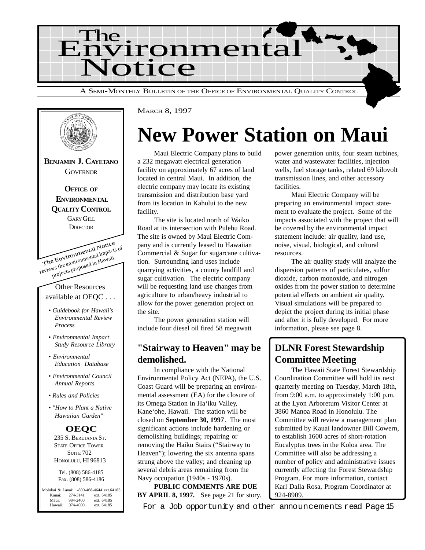



## **New Power Station on Maui**

Maui Electric Company plans to build a 232 megawatt electrical generation facility on approximately 67 acres of land located in central Maui. In addition, the electric company may locate its existing transmission and distribution base yard from its location in Kahului to the new facility.

The site is located north of Waiko Road at its intersection with Pulehu Road. The site is owned by Maui Electric Company and is currently leased to Hawaiian Commercial & Sugar for sugarcane cultivation. Surrounding land uses include quarrying activities, a county landfill and sugar cultivation. The electric company will be requesting land use changes from agriculture to urban/heavy industrial to allow for the power generation project on the site.

The power generation station will include four diesel oil fired 58 megawatt

#### **"Stairway to Heaven" may be demolished.**

In compliance with the National Environmental Policy Act (NEPA), the U.S. Coast Guard will be preparing an environmental assessment (EA) for the closure of its Omega Station in Ha'iku Valley, Kane'ohe, Hawaii. The station will be closed on **September 30, 1997**. The most significant actions include hardening or demolishing buildings; repairing or removing the Haiku Stairs ("Stairway to Heaven"); lowering the six antenna spans strung above the valley; and cleaning up several debris areas remaining from the Navy occupation (1940s - 1970s).

**PUBLIC COMMENTS ARE DUE BY APRIL 8, 1997.** See page 21 for story.

power generation units, four steam turbines, water and wastewater facilities, injection wells, fuel storage tanks, related 69 kilovolt transmission lines, and other accessory facilities.

Maui Electric Company will be preparing an environmental impact statement to evaluate the project. Some of the impacts associated with the project that will be covered by the environmental impact statement include: air quality, land use, noise, visual, biological, and cultural resources.

The air quality study will analyze the dispersion patterns of particulates, sulfur dioxide, carbon monoxide, and nitrogen oxides from the power station to determine potential effects on ambient air quality. Visual simulations will be prepared to depict the project during its initial phase and after it is fully developed. For more information, please see page 8.

### **DLNR Forest Stewardship Committee Meeting**

The Hawaii State Forest Stewardship Coordination Committee will hold its next quarterly meeting on Tuesday, March 18th, from 9:00 a.m. to approximately 1:00 p.m. at the Lyon Arboretum Visitor Center at 3860 Manoa Road in Honolulu. The Committee will review a management plan submitted by Kauai landowner Bill Cowern, to establish 1600 acres of short-rotation Eucalyptus trees in the Koloa area. The Committee will also be addressing a number of policy and administrative issues currently affecting the Forest Stewardship Program. For more information, contact Karl Dalla Rosa, Program Coordinator at 924-8909.

For a Job opportunity and other announcements read Page 15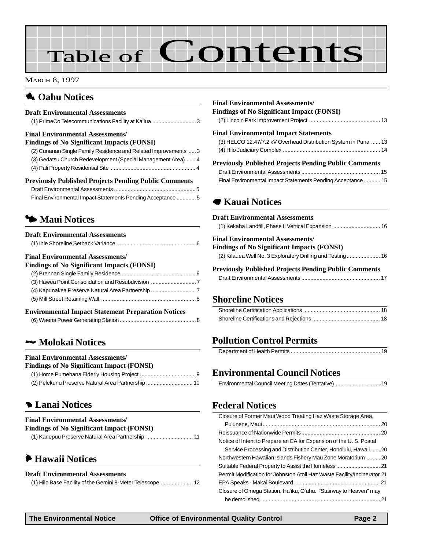# Table of Contents

MARCH 8, 1997

### **1** Oahu Notices

| <b>Draft Environmental Assessments</b> |  |
|----------------------------------------|--|
|                                        |  |

#### **Final Environmental Assessments/**

| Findings of No Significant Impacts (FONSI)                      |  |
|-----------------------------------------------------------------|--|
| (2) Cunanan Single Family Residence and Related Improvements  3 |  |

| Dreviously Dublished Drejects Dending Dublic Comments                                                      |  |
|------------------------------------------------------------------------------------------------------------|--|
|                                                                                                            |  |
| (3) Gedatsu Church Redevelopment (Special Management Area)  4                                              |  |
| $\frac{1}{2}$ , which is the condition of the condition of the condition of the condition of $\frac{1}{2}$ |  |

| Treationary Tradition of Traditional Community             |  |
|------------------------------------------------------------|--|
|                                                            |  |
| Final Environmental Impact Statements Pending Acceptance 5 |  |

### 3 **Maui Notices**

#### **Draft Environmental Assessments**

| <b>Final Environmental Assessments/</b>           |  |
|---------------------------------------------------|--|
| <b>Findings of No Significant Impacts (FONSI)</b> |  |
|                                                   |  |
|                                                   |  |
|                                                   |  |
|                                                   |  |
|                                                   |  |

#### **Environmental Impact Statement Preparation Notices**

|--|

#### 2 **Molokai Notices**

#### **Final Environmental Assessments/**

| <b>Findings of No Significant Impact (FONSI)</b> |  |  |  |  |
|--------------------------------------------------|--|--|--|--|
|--------------------------------------------------|--|--|--|--|

#### 4 **Lanai Notices**

| <b>Final Environmental Assessments/</b>           |  |
|---------------------------------------------------|--|
| <b>Findings of No Significant Impact (FONSI)</b>  |  |
| (1) Kanepuu Preserve Natural Area Partnership  11 |  |

### 6 **Hawaii Notices**

#### **Draft Environmental Assessments**

| (1) Hilo Base Facility of the Gemini 8-Meter Telescope  12 |  |  |
|------------------------------------------------------------|--|--|
|------------------------------------------------------------|--|--|

| <b>Final Environmental Assessments/</b><br>Findings of No Significant Impact (FONSI) |  |
|--------------------------------------------------------------------------------------|--|
| <b>Final Environmental Impact Statements</b>                                         |  |
| (3) HELCO 12.47/7.2 kV Overhead Distribution System in Puna  13                      |  |
|                                                                                      |  |
| <b>Previously Published Projects Pending Public Comments</b>                         |  |
|                                                                                      |  |
| Final Environmental Impact Statements Pending Acceptance  15                         |  |

#### 7 **Kauai Notices**

| <b>Draft Environmental Assessments</b>                       |
|--------------------------------------------------------------|
|                                                              |
| <b>Final Environmental Assessments/</b>                      |
| <b>Findings of No Significant Impacts (FONSI)</b>            |
| (2) Kilauea Well No. 3 Exploratory Drilling and Testing  16  |
| <b>Previously Published Projects Pending Public Comments</b> |
|                                                              |
|                                                              |
|                                                              |

#### **[Shoreline Notices](#page-17-0)**

#### **Pollution Control Permits**

#### **[Environmental Council Notices](#page-18-0)**

#### **[Federal Notices](#page-19-0)**

| Closure of Former Maui Wood Treating Haz Waste Storage Area,             |    |
|--------------------------------------------------------------------------|----|
|                                                                          |    |
|                                                                          |    |
| Notice of Intent to Prepare an EA for Expansion of the U.S. Postal       |    |
| Service Processing and Distribution Center, Honolulu, Hawaii.  20        |    |
| Northwestern Hawaiian Islands Fishery Mau Zone Moratorium  20            |    |
|                                                                          |    |
| Permit Modification for Johnston Atoll Haz Waste Facility/Incinerator 21 |    |
|                                                                          |    |
| Closure of Omega Station, Ha'iku, O'ahu. "Stairway to Heaven" may        |    |
|                                                                          | 21 |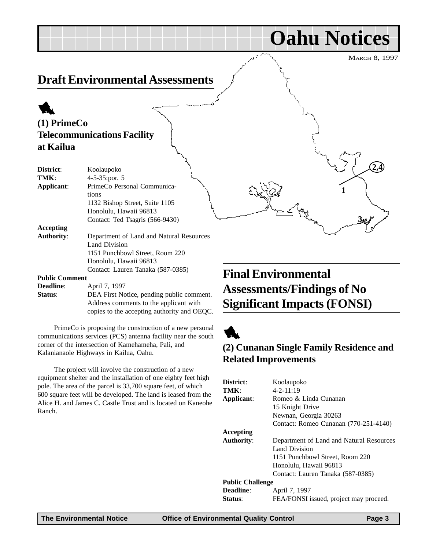**4 2,**

**1**

**3**

**Oahu Notices**

### <span id="page-2-0"></span>**Draft Environmental Assessments**

### 1 **(1) PrimeCo Telecommunications Facility at Kailua**

| District:         | Koolaupoko                               |
|-------------------|------------------------------------------|
| TMK:              | $4-5-35$ : por. 5                        |
| Applicant:        | PrimeCo Personal Communica-              |
|                   | tions                                    |
|                   | 1132 Bishop Street, Suite 1105           |
|                   | Honolulu, Hawaii 96813                   |
|                   | Contact: Ted Tsagris (566-9430)          |
| Accepting         |                                          |
| <b>Authority:</b> | Department of Land and Natural Resources |
|                   | Land Division                            |
|                   | 1151 Punchbowl Street, Room 220          |
|                   | Honolulu, Hawaii 96813                   |
|                   | Contact: Lauren Tanaka (587-0385)        |
| Public Comment    |                                          |

#### **Public Comment**

| <b>Deadline:</b> | April 7, 1997                               |
|------------------|---------------------------------------------|
| <b>Status:</b>   | DEA First Notice, pending public comment.   |
|                  | Address comments to the applicant with      |
|                  | copies to the accepting authority and OEQC. |

PrimeCo is proposing the construction of a new personal communications services (PCS) antenna facility near the south corner of the intersection of Kamehameha, Pali, and Kalanianaole Highways in Kailua, Oahu.

The project will involve the construction of a new equipment shelter and the installation of one eighty feet high pole. The area of the parcel is 33,700 square feet, of which 600 square feet will be developed. The land is leased from the Alice H. and James C. Castle Trust and is located on Kaneohe Ranch.

## **Final Environmental Assessments/Findings of No Significant Impacts (FONSI)**



#### **(2) Cunanan Single Family Residence and Related Improvements**

| District:               | Koolaupoko                               |
|-------------------------|------------------------------------------|
| TMK:                    | $4 - 2 - 11:19$                          |
| Applicant:              | Romeo & Linda Cunanan                    |
|                         | 15 Knight Drive                          |
|                         | Newnan, Georgia 30263                    |
|                         | Contact: Romeo Cunanan (770-251-4140)    |
| Accepting               |                                          |
| <b>Authority:</b>       | Department of Land and Natural Resources |
|                         | Land Division                            |
|                         | 1151 Punchbowl Street, Room 220          |
|                         | Honolulu, Hawaii 96813                   |
|                         | Contact: Lauren Tanaka (587-0385)        |
| <b>Public Challenge</b> |                                          |
| <b>Deadline:</b>        | April 7, 1997                            |
| <b>Status:</b>          | FEA/FONSI issued, project may proceed.   |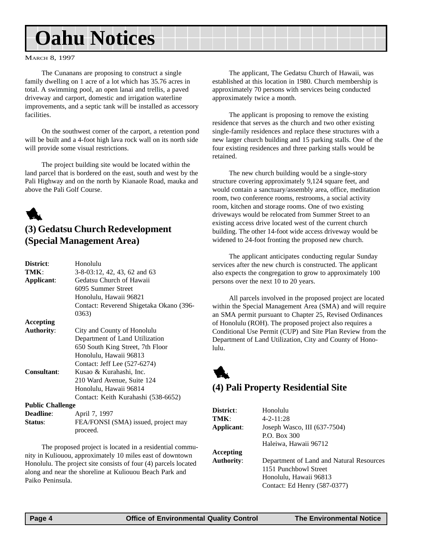## <span id="page-3-0"></span>**Oahu Notices**

#### MARCH 8, 1997

The Cunanans are proposing to construct a single family dwelling on 1 acre of a lot which has 35.76 acres in total. A swimming pool, an open lanai and trellis, a paved driveway and carport, domestic and irrigation waterline improvements, and a septic tank will be installed as accessory facilities.

On the southwest corner of the carport, a retention pond will be built and a 4-foot high lava rock wall on its north side will provide some visual restrictions.

The project building site would be located within the land parcel that is bordered on the east, south and west by the Pali Highway and on the north by Kianaole Road, mauka and above the Pali Golf Course.



#### **(3) Gedatsu Church Redevelopment (Special Management Area)**

| District:               | Honolulu                                |
|-------------------------|-----------------------------------------|
| TMK:                    | 3-8-03:12, 42, 43, 62 and 63            |
| Applicant:              | Gedatsu Church of Hawaii                |
|                         | 6095 Summer Street                      |
|                         | Honolulu, Hawaii 96821                  |
|                         | Contact: Reverend Shigetaka Okano (396- |
|                         | 0363)                                   |
| Accepting               |                                         |
| <b>Authority:</b>       | City and County of Honolulu             |
|                         | Department of Land Utilization          |
|                         | 650 South King Street, 7th Floor        |
|                         | Honolulu, Hawaii 96813                  |
|                         | Contact: Jeff Lee (527-6274)            |
| <b>Consultant:</b>      | Kusao & Kurahashi, Inc.                 |
|                         | 210 Ward Avenue, Suite 124              |
|                         | Honolulu, Hawaii 96814                  |
|                         | Contact: Keith Kurahashi (538-6652)     |
| <b>Public Challenge</b> |                                         |
| <b>Deadline:</b>        | April 7, 1997                           |
| Status:                 | FEA/FONSI (SMA) issued, project may     |
|                         | proceed.                                |

The proposed project is located in a residential community in Kuliouou, approximately 10 miles east of downtown Honolulu. The project site consists of four (4) parcels located along and near the shoreline at Kuliouou Beach Park and Paiko Peninsula.

The applicant, The Gedatsu Church of Hawaii, was established at this location in 1980. Church membership is approximately 70 persons with services being conducted approximately twice a month.

The applicant is proposing to remove the existing residence that serves as the church and two other existing single-family residences and replace these structures with a new larger church building and 15 parking stalls. One of the four existing residences and three parking stalls would be retained.

The new church building would be a single-story structure covering approximately 9,124 square feet, and would contain a sanctuary/assembly area, office, meditation room, two conference rooms, restrooms, a social activity room, kitchen and storage rooms. One of two existing driveways would be relocated from Summer Street to an existing access drive located west of the current church building. The other 14-foot wide access driveway would be widened to 24-foot fronting the proposed new church.

The applicant anticipates conducting regular Sunday services after the new church is constructed. The applicant also expects the congregation to grow to approximately 100 persons over the next 10 to 20 years.

All parcels involved in the proposed project are located within the Special Management Area (SMA) and will require an SMA permit pursuant to Chapter 25, Revised Ordinances of Honolulu (ROH). The proposed project also requires a Conditional Use Permit (CUP) and Site Plan Review from the Department of Land Utilization, City and County of Honolulu.



### **(4) Pali Property Residential Site**

| District:<br>TMK:<br>Applicant: | Honolulu<br>$4 - 2 - 11:28$<br>Joseph Wasco, III (637-7504)<br>P.O. Box 300                                                 |
|---------------------------------|-----------------------------------------------------------------------------------------------------------------------------|
|                                 | Haleiwa, Hawaii 96712                                                                                                       |
| Accepting                       |                                                                                                                             |
| <b>Authority:</b>               | Department of Land and Natural Resources<br>1151 Punchbowl Street<br>Honolulu, Hawaii 96813<br>Contact: Ed Henry (587-0377) |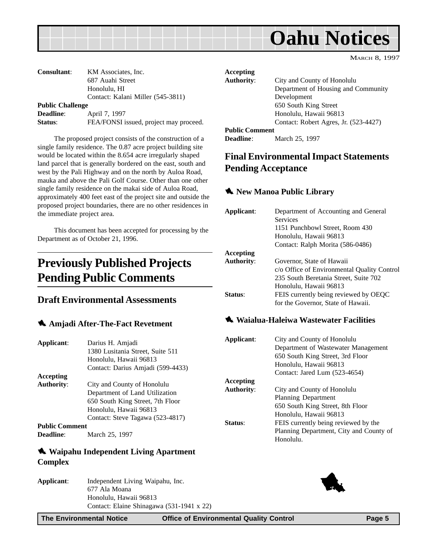<span id="page-4-0"></span>

| <b>Consultant:</b>      | KM Associates, Inc.                    |
|-------------------------|----------------------------------------|
|                         | 687 Auahi Street                       |
|                         | Honolulu, HI                           |
|                         | Contact: Kalani Miller (545-3811)      |
| <b>Public Challenge</b> |                                        |
| <b>Deadline:</b>        | April 7, 1997                          |
| Status:                 | FEA/FONSI issued, project may proceed. |

The proposed project consists of the construction of a single family residence. The 0.87 acre project building site would be located within the 8.654 acre irregularly shaped land parcel that is generally bordered on the east, south and west by the Pali Highway and on the north by Auloa Road, mauka and above the Pali Golf Course. Other than one other single family residence on the makai side of Auloa Road, approximately 400 feet east of the project site and outside the proposed project boundaries, there are no other residences in the immediate project area.

This document has been accepted for processing by the Department as of October 21, 1996.

## **Previously Published Projects Pending Public Comments**

#### **Draft Environmental Assessments**

#### 1 **Amjadi After-The-Fact Revetment**

| Applicant:            | Darius H. Amjadi<br>1380 Lusitania Street, Suite 511<br>Honolulu, Hawaii 96813<br>Contact: Darius Amjadi (599-4433) |
|-----------------------|---------------------------------------------------------------------------------------------------------------------|
|                       |                                                                                                                     |
| Accepting             |                                                                                                                     |
| <b>Authority:</b>     | City and County of Honolulu                                                                                         |
|                       | Department of Land Utilization                                                                                      |
|                       | 650 South King Street, 7th Floor                                                                                    |
|                       | Honolulu, Hawaii 96813                                                                                              |
|                       | Contact: Steve Tagawa (523-4817)                                                                                    |
| <b>Public Comment</b> |                                                                                                                     |
| Deadline:             | March 25, 1997                                                                                                      |

#### 1 **Waipahu Independent Living Apartment Complex**

**Applicant**: Independent Living Waipahu, Inc. 677 Ala Moana Honolulu, Hawaii 96813 Contact: Elaine Shinagawa (531-1941 x 22)

| Accepting             |                                       |
|-----------------------|---------------------------------------|
| <b>Authority:</b>     | City and County of Honolulu           |
|                       | Department of Housing and Community   |
|                       | Development                           |
|                       | 650 South King Street                 |
|                       | Honolulu, Hawaii 96813                |
|                       | Contact: Robert Agres, Jr. (523-4427) |
| <b>Public Comment</b> |                                       |
| <b>Deadline:</b>      | March 25, 1997                        |

#### **Final Environmental Impact Statements Pending Acceptance**

#### $\triangle$  **New Manoa Public Library**

| Applicant:        | Department of Accounting and General        |
|-------------------|---------------------------------------------|
|                   | <b>Services</b>                             |
|                   | 1151 Punchbowl Street, Room 430             |
|                   | Honolulu, Hawaii 96813                      |
|                   | Contact: Ralph Morita (586-0486)            |
| Accepting         |                                             |
| <b>Authority:</b> | Governor, State of Hawaii                   |
|                   | c/o Office of Environmental Quality Control |
|                   | 235 South Beretania Street, Suite 702       |
|                   | Honolulu, Hawaii 96813                      |
| <b>Status:</b>    | FEIS currently being reviewed by OEQC       |
|                   | for the Governor, State of Hawaii.          |
|                   |                                             |

#### $\triangle$  Waialua-Haleiwa Wastewater Facilities

| Applicant: | City and County of Honolulu<br>Department of Wastewater Management<br>650 South King Street, 3rd Floor<br>Honolulu, Hawaii 96813 |
|------------|----------------------------------------------------------------------------------------------------------------------------------|
|            | Contact: Jared Lum (523-4654)                                                                                                    |
| Accepting  |                                                                                                                                  |
| Authority: | City and County of Honolulu                                                                                                      |
|            | <b>Planning Department</b>                                                                                                       |
|            | 650 South King Street, 8th Floor                                                                                                 |
|            | Honolulu, Hawaii 96813                                                                                                           |
| Status:    | FEIS currently being reviewed by the                                                                                             |
|            | Planning Department, City and County of<br>Honolulu.                                                                             |
|            |                                                                                                                                  |

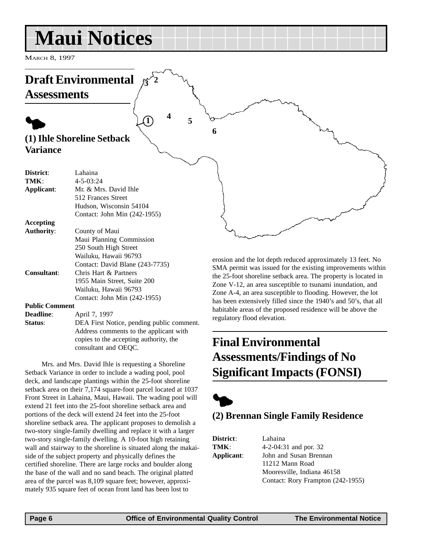## <span id="page-5-0"></span>**Maui Notices**

MARCH 8, 1997



**Deadline**: **April 7, 1997 Status:** DEA First Notice, pending public comment. Address comments to the applicant with copies to the accepting authority, the consultant and OEQC.

Mrs. and Mrs. David Ihle is requesting a Shoreline Setback Variance in order to include a wading pool, pool deck, and landscape plantings within the 25-foot shoreline setback area on their 7,174 square-foot parcel located at 1037 Front Street in Lahaina, Maui, Hawaii. The wading pool will extend 21 feet into the 25-foot shoreline setback area and portions of the deck will extend 24 feet into the 25-foot shoreline setback area. The applicant proposes to demolish a two-story single-family dwelling and replace it with a larger two-story single-family dwelling. A 10-foot high retaining wall and stairway to the shoreline is situated along the makaiside of the subject property and physically defines the certified shoreline. There are large rocks and boulder along the base of the wall and no sand beach. The original platted area of the parcel was 8,109 square feet; however, approximately 935 square feet of ocean front land has been lost to

## **Final Environmental Assessments/Findings of No Significant Impacts (FONSI)**



regulatory flood elevation.

### **(2) Brennan Single Family Residence**

| District:  | Lahaina                           |
|------------|-----------------------------------|
| TMK:       | 4-2-04:31 and por. 32             |
| Applicant: | John and Susan Brennan            |
|            | 11212 Mann Road                   |
|            | Mooresville. Indiana 46158        |
|            | Contact: Rory Frampton (242-1955) |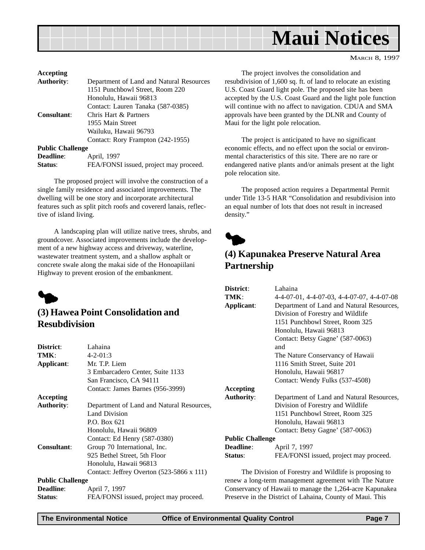<span id="page-6-0"></span>

| Accepting               |                                          |
|-------------------------|------------------------------------------|
| <b>Authority:</b>       | Department of Land and Natural Resources |
|                         | 1151 Punchbowl Street, Room 220          |
|                         | Honolulu, Hawaii 96813                   |
|                         | Contact: Lauren Tanaka (587-0385)        |
| Consultant:             | Chris Hart & Partners                    |
|                         | 1955 Main Street                         |
|                         | Wailuku, Hawaii 96793                    |
|                         | Contact: Rory Frampton (242-1955)        |
| <b>Public Challenge</b> |                                          |
| <b>Deadline:</b>        | April, 1997                              |
| Status:                 | FEA/FONSI issued, project may proceed.   |

The proposed project will involve the construction of a single family residence and associated improvements. The dwelling will be one story and incorporate architectural features such as split pitch roofs and covererd lanais, reflective of island living.

A landscaping plan will utilize native trees, shrubs, and groundcover. Associated improvements include the development of a new highway access and driveway, waterline, wastewater treatment system, and a shallow asphalt or concrete swale along the makai side of the Honoapiilani Highway to prevent erosion of the embankment.



#### **(3) Hawea Point Consolidation and Resubdivision**

| District:               | Lahaina                                          |
|-------------------------|--------------------------------------------------|
| TMK:                    | $4 - 2 - 01:3$                                   |
| Applicant:              | Mr. T.P. Liem                                    |
|                         | 3 Embarcadero Center, Suite 1133                 |
|                         | San Francisco, CA 94111                          |
|                         | Contact: James Barnes (956-3999)                 |
| <b>Accepting</b>        |                                                  |
| <b>Authority:</b>       | Department of Land and Natural Resources,        |
|                         | Land Division                                    |
|                         | P.O. Box 621                                     |
|                         | Honolulu, Hawaii 96809                           |
|                         | Contact: Ed Henry (587-0380)                     |
| <b>Consultant:</b>      | Group 70 International, Inc.                     |
|                         | 925 Bethel Street, 5th Floor                     |
|                         | Honolulu, Hawaii 96813                           |
|                         | Contact: Jeffrey Overton $(523-5866 \times 111)$ |
| <b>Public Challenge</b> |                                                  |
| <b>Deadline:</b>        | April 7, 1997                                    |
| Status:                 | FEA/FONSI issued, project may proceed.           |

The project involves the consolidation and resubdivision of 1,600 sq. ft. of land to relocate an existing U.S. Coast Guard light pole. The proposed site has been accepted by the U.S. Coast Guard and the light pole function will continue with no affect to navigation. CDUA and SMA approvals have been granted by the DLNR and County of Maui for the light pole relocation.

The project is anticipated to have no significant economic effects, and no effect upon the social or environmental characteristics of this site. There are no rare or endangered native plants and/or animals present at the light pole relocation site.

The proposed action requires a Departmental Permit under Title 13-5 HAR "Consolidation and resubdivision into an equal number of lots that does not result in increased density."



### **(4) Kapunakea Preserve Natural Area Partnership**

| District:               | Lahaina                                               |
|-------------------------|-------------------------------------------------------|
| TMK:                    | $4-4-07-01$ , $4-4-07-03$ , $4-4-07-07$ , $4-4-07-08$ |
| Applicant:              | Department of Land and Natural Resources,             |
|                         | Division of Forestry and Wildlife                     |
|                         | 1151 Punchbowl Street, Room 325                       |
|                         | Honolulu, Hawaii 96813                                |
|                         | Contact: Betsy Gagne' (587-0063)                      |
|                         | and                                                   |
|                         | The Nature Conservancy of Hawaii                      |
|                         | 1116 Smith Street, Suite 201                          |
|                         | Honolulu, Hawaii 96817                                |
|                         | Contact: Wendy Fulks (537-4508)                       |
| <b>Accepting</b>        |                                                       |
| <b>Authority:</b>       | Department of Land and Natural Resources,             |
|                         | Division of Forestry and Wildlife                     |
|                         | 1151 Punchbowl Street, Room 325                       |
|                         | Honolulu, Hawaii 96813                                |
|                         | Contact: Betsy Gagne' (587-0063)                      |
| <b>Public Challenge</b> |                                                       |
| <b>Deadline:</b>        | April 7, 1997                                         |
| Status:                 | FEA/FONSI issued, project may proceed.                |
|                         |                                                       |

The Division of Forestry and Wildlife is proposing to renew a long-term management agreement with The Nature Conservancy of Hawaii to manage the 1,264-acre Kapunakea Preserve in the District of Lahaina, County of Maui. This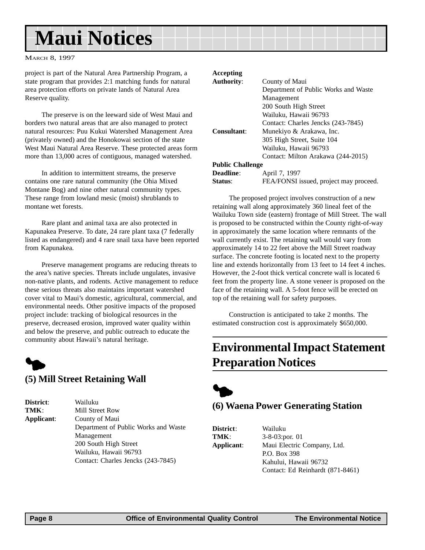## <span id="page-7-0"></span>**Maui Notices**

#### MARCH 8, 1997

project is part of the Natural Area Partnership Program, a state program that provides 2:1 matching funds for natural area protection efforts on private lands of Natural Area Reserve quality.

The preserve is on the leeward side of West Maui and borders two natural areas that are also managed to protect natural resources: Puu Kukui Watershed Management Area (privately owned) and the Honokowai section of the state West Maui Natural Area Reserve. These protected areas form more than 13,000 acres of contiguous, managed watershed.

In addition to intermittent streams, the preserve contains one rare natural community (the Ohia Mixed Montane Bog) and nine other natural community types. These range from lowland mesic (moist) shrublands to montane wet forests.

Rare plant and animal taxa are also protected in Kapunakea Preserve. To date, 24 rare plant taxa (7 federally listed as endangered) and 4 rare snail taxa have been reported from Kapunakea.

Preserve management programs are reducing threats to the area's native species. Threats include ungulates, invasive non-native plants, and rodents. Active management to reduce these serious threats also maintains important watershed cover vital to Maui's domestic, agricultural, commercial, and environmental needs. Other positive impacts of the proposed project include: tracking of biological resources in the preserve, decreased erosion, improved water quality within and below the preserve, and public outreach to educate the community about Hawaii's natural heritage.

## $\blacklozenge$

#### **(5) Mill Street Retaining Wall**

| <b>District:</b> | Wailuku                              |
|------------------|--------------------------------------|
| TMK:             | Mill Street Row                      |
| Applicant:       | County of Maui                       |
|                  | Department of Public Works and Waste |
|                  | Management                           |
|                  | 200 South High Street                |
|                  | Wailuku, Hawaii 96793                |
|                  | Contact: Charles Jencks (243-7845)   |

#### **Accepting**

| <b>Authority:</b>       | County of Maui                         |
|-------------------------|----------------------------------------|
|                         | Department of Public Works and Waste   |
|                         | Management                             |
|                         | 200 South High Street                  |
|                         | Wailuku, Hawaii 96793                  |
|                         | Contact: Charles Jencks (243-7845)     |
| Consultant:             | Munekiyo & Arakawa, Inc.               |
|                         | 305 High Street, Suite 104             |
|                         | Wailuku, Hawaii 96793                  |
|                         | Contact: Milton Arakawa (244-2015)     |
| <b>Public Challenge</b> |                                        |
| <b>Deadline:</b>        | April 7, 1997                          |
| <b>Status:</b>          | FEA/FONSI issued, project may proceed. |

The proposed project involves construction of a new retaining wall along approximately 360 lineal feet of the Wailuku Town side (eastern) frontage of Mill Street. The wall is proposed to be constructed within the County right-of-way in approximately the same location where remnants of the wall currently exist. The retaining wall would vary from approximately 14 to 22 feet above the Mill Street roadway surface. The concrete footing is located next to the property line and extends horizontally from 13 feet to 14 feet 4 inches. However, the 2-foot thick vertical concrete wall is located 6 feet from the property line. A stone veneer is proposed on the face of the retaining wall. A 5-foot fence will be erected on top of the retaining wall for safety purposes.

Construction is anticipated to take 2 months. The estimated construction cost is approximately \$650,000.

### **Environmental Impact Statement Preparation Notices**



#### **(6) Waena Power Generating Station**

**District**: Wailuku

**TMK**: 3-8-03:por. 01 **Applicant**: Maui Electric Company, Ltd. P.O. Box 398 Kahului, Hawaii 96732 Contact: Ed Reinhardt (871-8461)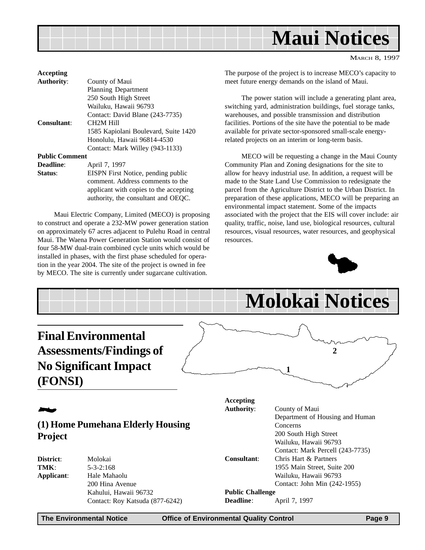<span id="page-8-0"></span>

| March 8, 1997 |  |
|---------------|--|
|               |  |

| Accepting             |                                        |
|-----------------------|----------------------------------------|
| <b>Authority:</b>     | County of Maui                         |
|                       | <b>Planning Department</b>             |
|                       | 250 South High Street                  |
|                       | Wailuku, Hawaii 96793                  |
|                       | Contact: David Blane (243-7735)        |
| <b>Consultant:</b>    | CH <sub>2</sub> M Hill                 |
|                       | 1585 Kapiolani Boulevard, Suite 1420   |
|                       | Honolulu, Hawaii 96814-4530            |
|                       | Contact: Mark Willey (943-1133)        |
| <b>Public Comment</b> |                                        |
| <b>Deadline:</b>      | April 7, 1997                          |
| Status:               | EISPN First Notice, pending public     |
|                       | comment. Address comments to the       |
|                       | applicant with copies to the accepting |
|                       | authority, the consultant and OEOC.    |

Maui Electric Company, Limited (MECO) is proposing to construct and operate a 232-MW power generation station on approximately 67 acres adjacent to Pulehu Road in central Maui. The Waena Power Generation Station would consist of four 58-MW dual-train combined cycle units which would be installed in phases, with the first phase scheduled for operation in the year 2004. The site of the project is owned in fee by MECO. The site is currently under sugarcane cultivation.

The purpose of the project is to increase MECO's capacity to meet future energy demands on the island of Maui.

The power station will include a generating plant area, switching yard, administration buildings, fuel storage tanks, warehouses, and possible transmission and distribution facilities. Portions of the site have the potential to be made available for private sector-sponsored small-scale energyrelated projects on an interim or long-term basis.

MECO will be requesting a change in the Maui County Community Plan and Zoning designations for the site to allow for heavy industrial use. In addition, a request will be made to the State Land Use Commission to redesignate the parcel from the Agriculture District to the Urban District. In preparation of these applications, MECO will be preparing an environmental impact statement. Some of the impacts associated with the project that the EIS will cover include: air quality, traffic, noise, land use, biological resources, cultural resources, visual resources, water resources, and geophysical resources.



|                                                                                                         |                                                               |   |                                       | <b>Molokai Notices</b>                                                                                                            |
|---------------------------------------------------------------------------------------------------------|---------------------------------------------------------------|---|---------------------------------------|-----------------------------------------------------------------------------------------------------------------------------------|
| <b>Final Environmental</b><br><b>Assessments/Findings of</b><br><b>No Significant Impact</b><br>(FONSI) |                                                               | 2 |                                       |                                                                                                                                   |
|                                                                                                         |                                                               |   | <b>Accepting</b><br><b>Authority:</b> | County of Maui                                                                                                                    |
| <b>Project</b>                                                                                          | (1) Home Pumehana Elderly Housing                             |   |                                       | Department of Housing and Human<br>Concerns<br>200 South High Street<br>Wailuku, Hawaii 96793<br>Contact: Mark Percell (243-7735) |
| District:<br>TMK:<br>Applicant:                                                                         | Molokai<br>$5 - 3 - 2:168$<br>Hale Mahaolu<br>200 Hina Avenue |   | Consultant:                           | Chris Hart & Partners<br>1955 Main Street, Suite 200<br>Wailuku, Hawaii 96793<br>Contact: John Min (242-1955)                     |
|                                                                                                         | Kahului, Hawaii 96732<br>Contact: Roy Katsuda (877-6242)      |   | <b>Public Challenge</b><br>Deadline:  | April 7, 1997                                                                                                                     |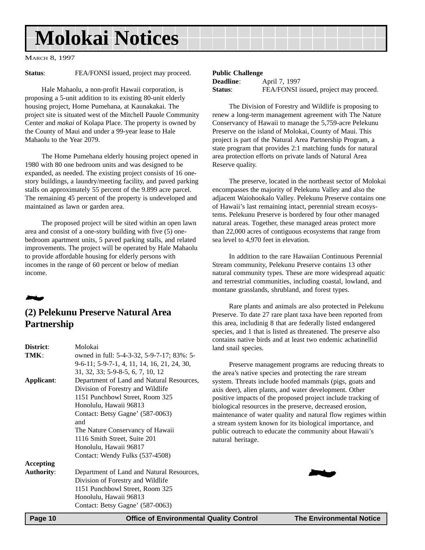## <span id="page-9-0"></span>**Molokai Notices**

MARCH 8, 1997

**Status:** FEA/FONSI issued, project may proceed.

Hale Mahaolu, a non-profit Hawaii corporation, is proposing a 5-unit addition to its existing 80-unit elderly housing project, Home Pumehana, at Kaunakakai. The project site is situated west of the Mitchell Pauole Community Center and *makai* of Kolapa Place. The property is owned by the County of Maui and under a 99-year lease to Hale Mahaolu to the Year 2079.

The Home Pumehana elderly housing project opened in 1980 with 80 one bedroom units and was designed to be expanded, as needed. The existing project consists of 16 onestory buildings, a laundry/meeting facility, and paved parking stalls on approximately 55 percent of the 9.899 acre parcel. The remaining 45 percent of the property is undeveloped and maintained as lawn or garden area.

The proposed project will be sited within an open lawn area and consist of a one-story building with five (5) onebedroom apartment units, 5 paved parking stalls, and related improvements. The project will be operated by Hale Mahaolu to provide affordable housing for elderly persons with incomes in the range of 60 percent or below of median income.

## 2

#### **(2) Pelekunu Preserve Natural Area Partnership**

| District:         | Molokai                                     |
|-------------------|---------------------------------------------|
| TMK:              | owned in full: 5-4-3-32, 5-9-7-17; 83%: 5-  |
|                   | 9-6-11; 5-9-7-1, 4, 11, 14, 16, 21, 24, 30, |
|                   | 31, 32, 33; 5-9-8-5, 6, 7, 10, 12           |
| Applicant:        | Department of Land and Natural Resources,   |
|                   | Division of Forestry and Wildlife           |
|                   | 1151 Punchbowl Street, Room 325             |
|                   | Honolulu, Hawaii 96813                      |
|                   | Contact: Betsy Gagne' (587-0063)            |
|                   | and                                         |
|                   | The Nature Conservancy of Hawaii            |
|                   | 1116 Smith Street, Suite 201                |
|                   | Honolulu, Hawaii 96817                      |
|                   | Contact: Wendy Fulks (537-4508)             |
| Accepting         |                                             |
| <b>Authority:</b> | Department of Land and Natural Resources,   |
|                   | Division of Forestry and Wildlife           |
|                   | 1151 Punchbowl Street, Room 325             |
|                   | Honolulu, Hawaii 96813                      |
|                   | Contact: Betsy Gagne' (587-0063)            |

#### **Public Challenge**

| <b>Deadline</b> : | April 7, 1997                          |
|-------------------|----------------------------------------|
| <b>Status:</b>    | FEA/FONSI issued, project may proceed. |

The Division of Forestry and Wildlife is proposing to renew a long-term management agreement with The Nature Conservancy of Hawaii to manage the 5,759-acre Pelekunu Preserve on the island of Molokai, County of Maui. This project is part of the Natural Area Partnership Program, a state program that provides 2:1 matching funds for natural area protection efforts on private lands of Natural Area Reserve quality.

The preserve, located in the northeast sector of Molokai encompasses the majority of Pelekunu Valley and also the adjacent Waiohookalo Valley. Pelekunu Preserve contains one of Hawaii's last remaining intact, perennial stream ecosystems. Pelekunu Preserve is bordered by four other managed natural areas. Together, these managed areas protect more than 22,000 acres of contiguous ecosystems that range from sea level to 4,970 feet in elevation.

In addition to the rare Hawaiian Continuous Perennial Stream community, Pelekunu Preserve contains 13 other natural community types. These are more widespread aquatic and terrestrial communities, including coastal, lowland, and montane grasslands, shrubland, and forest types.

Rare plants and animals are also protected in Pelekunu Preserve. To date 27 rare plant taxa have been reported from this area, includinig 8 that are federally listed endangered species, and 1 that is listed as threatened. The preserve also contains native birds and at least two endemic achatinellid land snail species.

Preserve management programs are reducing threats to the area's native species and protecting the rare stream system. Threats include hoofed mammals (pigs, goats and axis deer), alien plants, and water development. Other positive impacts of the proposed project include tracking of biological resources in the preserve, decreased erosion, maintenance of water quality and natural flow regimes within a stream system known for its biological importance, and public outreach to educate the community about Hawaii's natural heritage.

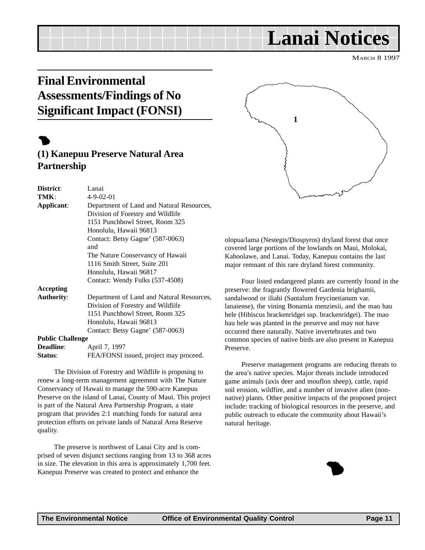## <span id="page-10-0"></span>**Final Environmental Assessments/Findings of No Significant Impact (FONSI)**

## $\bullet$

### **(1) Kanepuu Preserve Natural Area Partnership**

| District:               | Lanai                                     |
|-------------------------|-------------------------------------------|
| TMK:                    | $4 - 9 - 02 - 01$                         |
| Applicant:              | Department of Land and Natural Resources, |
|                         | Division of Forestry and Wildlife         |
|                         | 1151 Punchbowl Street, Room 325           |
|                         | Honolulu, Hawaii 96813                    |
|                         | Contact: Betsy Gagne' (587-0063)          |
|                         | and                                       |
|                         | The Nature Conservancy of Hawaii          |
|                         | 1116 Smith Street, Suite 201              |
|                         | Honolulu, Hawaii 96817                    |
|                         | Contact: Wendy Fulks (537-4508)           |
| Accepting               |                                           |
| <b>Authority:</b>       | Department of Land and Natural Resources, |
|                         | Division of Forestry and Wildlife         |
|                         | 1151 Punchbowl Street, Room 325           |
|                         | Honolulu, Hawaii 96813                    |
|                         | Contact: Betsy Gagne' (587-0063)          |
| <b>Public Challenge</b> |                                           |
| <b>Deadline:</b>        | April 7, 1997                             |
| Status:                 | FEA/FONSI issued, project may proceed.    |

The Division of Forestry and Wildlife is proposing to renew a long-term management agreement with The Nature Conservancy of Hawaii to manage the 590-acre Kanepuu Preserve on the island of Lanai, County of Maui. This project is part of the Natural Area Partnership Program, a state program that provides 2:1 matching funds for natural area protection efforts on private lands of Natural Area Reserve quality.

The preserve is northwest of Lanai City and is comprised of seven disjunct sections ranging from 13 to 368 acres First of seven disjunct sections ranging from 15 to 566 actes<br>in size. The elevation in this area is approximately 1,700 feet.<br>Kanepuu Preserve was created to protect and enhance the



**Lanai Notices**

olopua/lama (Nestegis/Diospyros) dryland forest that once covered large portions of the lowlands on Maui, Molokai, Kahoolawe, and Lanai. Today, Kanepuu contains the last major remnant of this rare dryland forest community.

Four listed endangered plants are currently found in the preserve: the fragrantly flowered Gardenia brighamii, sandalwood or iliahi (Santalum freycinetianum var. lanaiense), the vining Bonamia menziesii, and the mao hau hele (Hibiscus brackenridgei ssp. brackenridgei). The mao hau hele was planted in the preserve and may not have occurred there naturally. Native invertebrates and two common species of native birds are also present in Kanepuu Preserve.

Preserve management programs are reducing threats to the area's native species. Major threats include introduced game animals (axis deer and mouflon sheep), cattle, rapid soil erosion, wildfire, and a number of invasive alien (nonnative) plants. Other positive impacts of the proposed project include: tracking of biological resources in the preserve, and public outreach to educate the community about Hawaii's natural heritage.

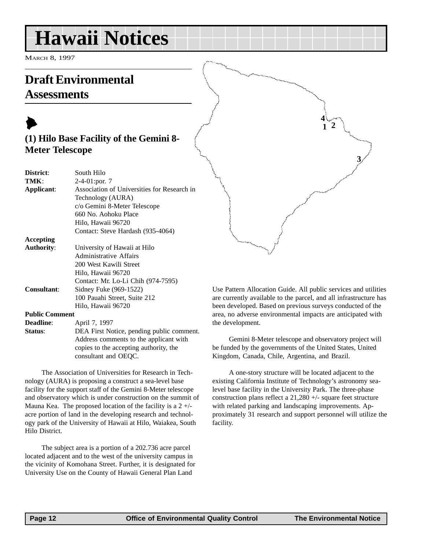<span id="page-11-0"></span>MARCH 8, 1997

### **Draft Environmental Assessments**

### $\blacktriangleright$ **(1) Hilo Base Facility of the Gemini 8- Meter Telescope**

| District:             | South Hilo                                  |
|-----------------------|---------------------------------------------|
| TMK:                  | $2-4-01$ : por. 7                           |
| Applicant:            | Association of Universities for Research in |
|                       | Technology (AURA)                           |
|                       | c/o Gemini 8-Meter Telescope                |
|                       | 660 No. Aohoku Place                        |
|                       | Hilo, Hawaii 96720                          |
|                       | Contact: Steve Hardash (935-4064)           |
| Accepting             |                                             |
| <b>Authority:</b>     | University of Hawaii at Hilo                |
|                       | Administrative Affairs                      |
|                       | 200 West Kawili Street                      |
|                       | Hilo, Hawaii 96720                          |
|                       | Contact: Mr. Lo-Li Chih (974-7595)          |
| <b>Consultant:</b>    | Sidney Fuke (969-1522)                      |
|                       | 100 Pauahi Street, Suite 212                |
|                       | Hilo, Hawaii 96720                          |
| <b>Public Comment</b> |                                             |
| <b>Deadline:</b>      | April 7, 1997                               |
| Status:               | DEA First Notice, pending public comment.   |
|                       |                                             |

Address comments to the applicant with copies to the accepting authority, the consultant and OEQC.

The Association of Universities for Research in Technology (AURA) is proposing a construct a sea-level base facility for the support staff of the Gemini 8-Meter telescope and observatory which is under construction on the summit of Mauna Kea. The proposed location of the facility is a  $2 +/$ acre portion of land in the developing research and technology park of the University of Hawaii at Hilo, Waiakea, South Hilo District.

The subject area is a portion of a 202.736 acre parcel located adjacent and to the west of the university campus in the vicinity of Komohana Street. Further, it is designated for University Use on the County of Hawaii General Plan Land

Use Pattern Allocation Guide. All public services and utilities are currently available to the parcel, and all infrastructure has been developed. Based on previous surveys conducted of the area, no adverse environmental impacts are anticipated with the development.

**3**

**4 1 2**

Gemini 8-Meter telescope and observatory project will be funded by the governments of the United States, United Kingdom, Canada, Chile, Argentina, and Brazil.

A one-story structure will be located adjacent to the existing California Institute of Technology's astronomy sealevel base facility in the University Park. The three-phase construction plans reflect a 21,280 +/- square feet structure with related parking and landscaping improvements. Approximately 31 research and support personnel will utilize the facility.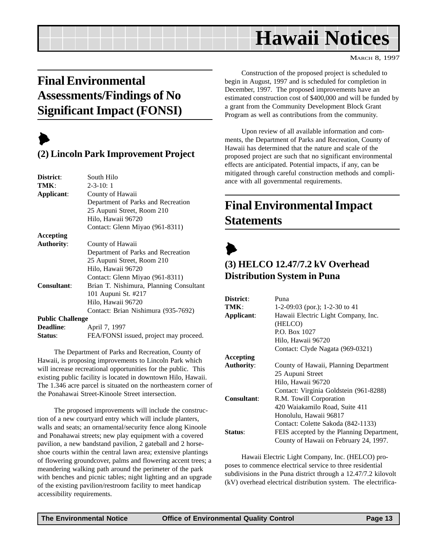MARCH 8, 1997

## <span id="page-12-0"></span>**Final Environmental Assessments/Findings of No Significant Impact (FONSI)**

## $\blacktriangleright$

#### **(2) Lincoln Park Improvement Project**

| District:               | South Hilo                              |
|-------------------------|-----------------------------------------|
| TMK:                    | $2 - 3 - 10:1$                          |
| Applicant:              | County of Hawaii                        |
|                         | Department of Parks and Recreation      |
|                         | 25 Aupuni Street, Room 210              |
|                         | Hilo, Hawaii 96720                      |
|                         | Contact: Glenn Miyao (961-8311)         |
| Accepting               |                                         |
| <b>Authority:</b>       | County of Hawaii                        |
|                         | Department of Parks and Recreation      |
|                         | 25 Aupuni Street, Room 210              |
|                         | Hilo, Hawaii 96720                      |
|                         | Contact: Glenn Miyao (961-8311)         |
| Consultant:             | Brian T. Nishimura, Planning Consultant |
|                         | 101 Aupuni St. #217                     |
|                         | Hilo, Hawaii 96720                      |
|                         | Contact: Brian Nishimura (935-7692)     |
| <b>Public Challenge</b> |                                         |
| <b>Deadline:</b>        | April 7, 1997                           |
| Status:                 | FEA/FONSI issued, project may proceed.  |

The Department of Parks and Recreation, County of Hawaii, is proposing improvements to Lincoln Park which will increase recreational opportunities for the public. This existing public facility is located in downtown Hilo, Hawaii. The 1.346 acre parcel is situated on the northeastern corner of the Ponahawai Street-Kinoole Street intersection.

The proposed improvements will include the construction of a new courtyard entry which will include planters, walls and seats; an ornamental/security fence along Kinoole and Ponahawai streets; new play equipment with a covered pavilion, a new bandstand pavilion, 2 gateball and 2 horseshoe courts within the central lawn area; extensive plantings of flowering groundcover, palms and flowering accent trees; a meandering walking path around the perimeter of the park with benches and picnic tables; night lighting and an upgrade of the existing pavilion/restroom facility to meet handicap accessibility requirements.

Construction of the proposed project is scheduled to begin in August, 1997 and is scheduled for completion in December, 1997. The proposed improvements have an estimated construction cost of \$400,000 and will be funded by a grant from the Community Development Block Grant Program as well as contributions from the community.

Upon review of all available information and comments, the Department of Parks and Recreation, County of Hawaii has determined that the nature and scale of the proposed project are such that no significant environmental effects are anticipated. Potential impacts, if any, can be mitigated through careful construction methods and compliance with all governmental requirements.

## **Final Environmental Impact Statements**



#### **(3) HELCO 12.47/7.2 kV Overhead Distribution System in Puna**

| District:         | Puna                                      |
|-------------------|-------------------------------------------|
| TMK:              | 1-2-09:03 (por.); 1-2-30 to 41            |
| Applicant:        | Hawaii Electric Light Company, Inc.       |
|                   | (HELCO)                                   |
|                   | P.O. Box 1027                             |
|                   | Hilo, Hawaii 96720                        |
|                   | Contact: Clyde Nagata (969-0321)          |
| Accepting         |                                           |
| <b>Authority:</b> | County of Hawaii, Planning Department     |
|                   | 25 Aupuni Street                          |
|                   | Hilo, Hawaii 96720                        |
|                   | Contact: Virginia Goldstein (961-8288)    |
| Consultant:       | R.M. Towill Corporation                   |
|                   | 420 Waiakamilo Road, Suite 411            |
|                   | Honolulu, Hawaii 96817                    |
|                   | Contact: Colette Sakoda (842-1133)        |
| Status:           | FEIS accepted by the Planning Department, |
|                   | County of Hawaii on February 24, 1997.    |

Hawaii Electric Light Company, Inc. (HELCO) proposes to commence electrical service to three residential subdivisions in the Puna district through a 12.47/7.2 kilovolt (kV) overhead electrical distribution system. The electrifica-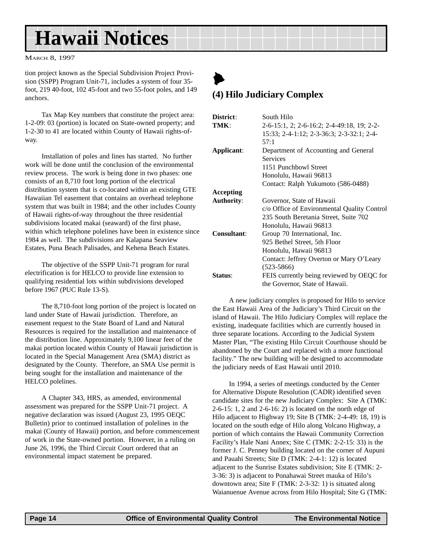<span id="page-13-0"></span>MARCH 8, 1997

tion project known as the Special Subdivision Project Provision (SSPP) Program Unit-71, includes a system of four 35 foot, 219 40-foot, 102 45-foot and two 55-foot poles, and 149 anchors.

Tax Map Key numbers that constitute the project area: 1-2-09: 03 (portion) is located on State-owned property; and 1-2-30 to 41 are located within County of Hawaii rights-ofway.

Installation of poles and lines has started. No further work will be done until the conclusion of the environmental review process. The work is being done in two phases: one consists of an 8,710 foot long portion of the electrical distribution system that is co-located within an existing GTE Hawaiian Tel easement that contains an overhead telephone system that was built in 1984; and the other includes County of Hawaii rights-of-way throughout the three residential subdivisions located makai (seaward) of the first phase, within which telephone polelines have been in existence since 1984 as well. The subdivisions are Kalapana Seaview Estates, Puna Beach Palisades, and Kehena Beach Estates.

The objective of the SSPP Unit-71 program for rural electrification is for HELCO to provide line extension to qualifying residential lots within subdivisions developed before 1967 (PUC Rule 13-S).

The 8,710-foot long portion of the project is located on land under State of Hawaii jurisdiction. Therefore, an easement request to the State Board of Land and Natural Resources is required for the installation and maintenance of the distribution line. Approximately 9,100 linear feet of the makai portion located within County of Hawaii jurisdiction is located in the Special Management Area (SMA) district as designated by the County. Therefore, an SMA Use permit is being sought for the installation and maintenance of the HELCO polelines.

A Chapter 343, HRS, as amended, environmental assessment was prepared for the SSPP Unit-71 project. A negative declaration was issued (August 23, 1995 OEQC Bulletin) prior to continued installation of polelines in the makai (County of Hawaii) portion, and before commencement of work in the State-owned portion. However, in a ruling on June 26, 1996, the Third Circuit Court ordered that an environmental impact statement be prepared.

## $\blacktriangleright$ **(4) Hilo Judiciary Complex**

| District:         | South Hilo                                  |
|-------------------|---------------------------------------------|
| TMK:              | 2-6-15:1, 2; 2-6-16:2; 2-4-49:18, 19; 2-2-  |
|                   | 15:33; 2-4-1:12; 2-3-36:3; 2-3-32:1; 2-4-   |
|                   | 57:1                                        |
| Applicant:        | Department of Accounting and General        |
|                   | <b>Services</b>                             |
|                   | 1151 Punchbowl Street                       |
|                   | Honolulu, Hawaii 96813                      |
|                   | Contact: Ralph Yukumoto (586-0488)          |
| Accepting         |                                             |
| <b>Authority:</b> | Governor, State of Hawaii                   |
|                   | c/o Office of Environmental Quality Control |
|                   | 235 South Beretania Street, Suite 702       |
|                   | Honolulu, Hawaii 96813                      |
| Consultant:       | Group 70 International, Inc.                |
|                   | 925 Bethel Street, 5th Floor                |
|                   | Honolulu, Hawaii 96813                      |
|                   | Contact: Jeffrey Overton or Mary O'Leary    |
|                   | $(523 - 5866)$                              |
| Status:           | FEIS currently being reviewed by OEQC for   |
|                   | the Governor, State of Hawaii.              |

A new judiciary complex is proposed for Hilo to service the East Hawaii Area of the Judiciary's Third Circuit on the island of Hawaii. The Hilo Judiciary Complex will replace the existing, inadequate facilities which are currently housed in three separate locations. According to the Judicial System Master Plan, "The existing Hilo Circuit Courthouse should be abandoned by the Court and replaced with a more functional facility." The new building will be designed to accommodate the judiciary needs of East Hawaii until 2010.

In 1994, a series of meetings conducted by the Center for Alternative Dispute Resolution (CADR) identified seven candidate sites for the new Judiciary Complex: Site A (TMK: 2-6-15: 1, 2 and 2-6-16: 2) is located on the north edge of Hilo adjacent to Highway 19; Site B (TMK: 2-4-49: 18, 19) is located on the south edge of Hilo along Volcano Highway, a portion of which contains the Hawaii Community Correction Facility's Hale Nani Annex; Site C (TMK: 2-2-15: 33) is the former J. C. Penney building located on the corner of Aupuni and Pauahi Streets; Site D (TMK: 2-4-1: 12) is located adjacent to the Sunrise Estates subdivision; Site E (TMK: 2- 3-36: 3) is adjacent to Ponahawai Street mauka of Hilo's downtown area; Site F (TMK: 2-3-32: 1) is situated along Waianuenue Avenue across from Hilo Hospital; Site G (TMK: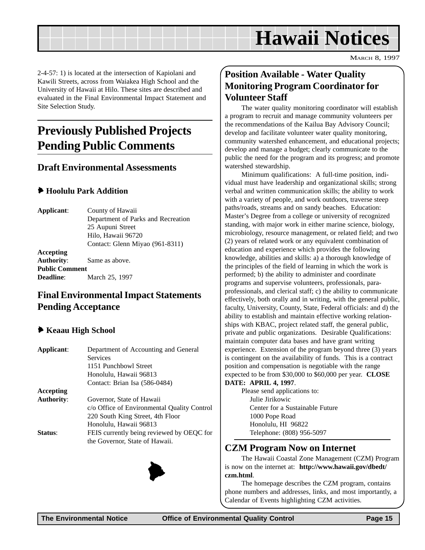<span id="page-14-0"></span>2-4-57: 1) is located at the intersection of Kapiolani and Kawili Streets, across from Waiakea High School and the University of Hawaii at Hilo. These sites are described and evaluated in the Final Environmental Impact Statement and Site Selection Study.

## **Previously Published Projects Pending Public Comments**

#### **Draft Environmental Assessments**

#### 6 **Hoolulu Park Addition**

**Applicant**: County of Hawaii Department of Parks and Recreation 25 Aupuni Street Hilo, Hawaii 96720 Contact: Glenn Miyao (961-8311) **Accepting Authority**: Same as above.

**Public Comment Deadline**: March 25, 1997

#### **Final Environmental Impact Statements Pending Acceptance**

#### 6 **Keaau High School**

| Applicant:        | Department of Accounting and General        |
|-------------------|---------------------------------------------|
|                   | Services                                    |
|                   | 1151 Punchbowl Street                       |
|                   | Honolulu, Hawaii 96813                      |
|                   | Contact: Brian Isa (586-0484)               |
| Accepting         |                                             |
| <b>Authority:</b> | Governor, State of Hawaii                   |
|                   | c/o Office of Environmental Quality Control |
|                   | 220 South King Street, 4th Floor            |
|                   | Honolulu, Hawaii 96813                      |
| Status:           | FEIS currently being reviewed by OEQC for   |
|                   | the Governor, State of Hawaii.              |



#### **Position Available - Water Quality Monitoring Program Coordinator for Volunteer Staff**

The water quality monitoring coordinator will establish a program to recruit and manage community volunteers per the recommendations of the Kailua Bay Advisory Council; develop and facilitate volunteer water quality monitoring, community watershed enhancement, and educational projects; develop and manage a budget; clearly communicate to the public the need for the program and its progress; and promote watershed stewardship.

Minimum qualifications: A full-time position, individual must have leadership and organizational skills; strong verbal and written communication skills; the ability to work with a variety of people, and work outdoors, traverse steep paths/roads, streams and on sandy beaches. Education: Master's Degree from a college or university of recognized standing, with major work in either marine science, biology, microbiology, resource management, or related field; and two (2) years of related work or any equivalent combination of education and experience which provides the following knowledge, abilities and skills: a) a thorough knowledge of the principles of the field of learning in which the work is performed; b) the ability to administer and coordinate programs and supervise volunteers, professionals, paraprofessionals, and clerical staff; c) the ability to communicate effectively, both orally and in writing, with the general public, faculty, University, County, State, Federal officials: and d) the ability to establish and maintain effective working relationships with KBAC, project related staff, the general public, private and public organizations. Desirable Qualifications: maintain computer data bases and have grant writing experience. Extension of the program beyond three (3) years is contingent on the availability of funds. This is a contract position and compensation is negotiable with the range expected to be from \$30,000 to \$60,000 per year. **CLOSE**

#### **DATE: APRIL 4, 1997**.

Please send applications to: Julie Jirikowic Center for a Sustainable Future 1000 Pope Road Honolulu, HI 96822 Telephone: (808) 956-5097

#### **CZM Program Now on Internet**

The Hawaii Coastal Zone Management (CZM) Program is now on the internet at: **http://www.hawaii.gov/dbedt/ czm.html**.

The homepage describes the CZM program, contains phone numbers and addresses, links, and most importantly, a Calendar of Events highlighting CZM activities.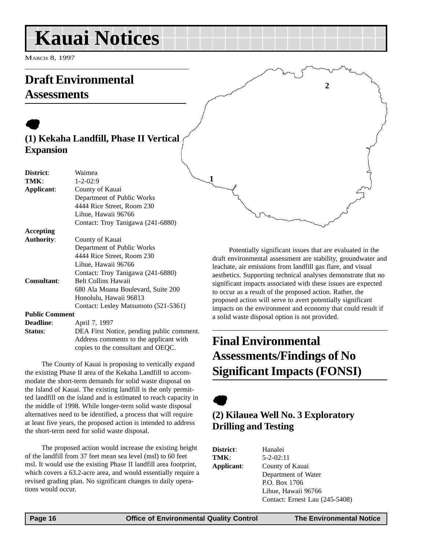## <span id="page-15-0"></span>**Kauai Notices**

MARCH 8, 1997

## **Draft Environmental Assessments**

### $\bullet$ **(1) Kekaha Landfill, Phase II Vertical Expansion**

| District:             | Waimea                                    |
|-----------------------|-------------------------------------------|
| TMK:                  | $1 - 2 - 02:9$                            |
| Applicant:            | County of Kauai                           |
|                       | Department of Public Works                |
|                       | 4444 Rice Street, Room 230                |
|                       | Lihue, Hawaii 96766                       |
|                       | Contact: Troy Tanigawa (241-6880)         |
| Accepting             |                                           |
| <b>Authority:</b>     | County of Kauai                           |
|                       | Department of Public Works                |
|                       | 4444 Rice Street, Room 230                |
|                       | Lihue, Hawaii 96766                       |
|                       | Contact: Troy Tanigawa (241-6880)         |
| <b>Consultant:</b>    | <b>Belt Collins Hawaii</b>                |
|                       | 680 Ala Moana Boulevard, Suite 200        |
|                       | Honolulu, Hawaii 96813                    |
|                       | Contact: Lesley Matsumoto (521-5361)      |
| <b>Public Comment</b> |                                           |
| <b>Deadline:</b>      | April 7, 1997                             |
| Status:               | DEA First Notice, pending public comment. |
|                       | Address comments to the applicant with    |
|                       | copies to the consultant and OEQC.        |

The County of Kauai is proposing to vertically expand the existing Phase II area of the Kekaha Landfill to accommodate the short-term demands for solid waste disposal on the Island of Kauai. The existing landfill is the only permitted landfill on the island and is estimated to reach capacity in the middle of 1998. While longer-term solid waste disposal alternatives need to be identified, a process that will require at least five years, the proposed action is intended to address the short-term need for solid waste disposal.

The proposed action would increase the existing height of the landfill from 37 feet mean sea level (msl) to 60 feet msl. It would use the existing Phase II landfill area footprint, which covers a 63.2-acre area, and would essentially require a revised grading plan. No significant changes to daily operations would occur.

Potentially significant issues that are evaluated in the draft environmental assessment are stability, groundwater and leachate, air emissions from landfill gas flare, and visual aesthetics. Supporting technical analyses demonstrate that no significant impacts associated with these issues are expected to occur as a result of the proposed action. Rather, the proposed action will serve to avert potentially significant impacts on the environment and economy that could result if a solid waste disposal option is not provided.

**2**

## **Final Environmental Assessments/Findings of No Significant Impacts (FONSI)**

 $\bullet$ 

**1**

### **(2) Kilauea Well No. 3 Exploratory Drilling and Testing**

| District:  | Hanalei                        |
|------------|--------------------------------|
| TMK:       | $5 - 2 - 02:11$                |
| Applicant: | County of Kauai                |
|            | Department of Water            |
|            | P.O. Box 1706                  |
|            | Lihue, Hawaii 96766            |
|            | Contact: Ernest Lau (245-5408) |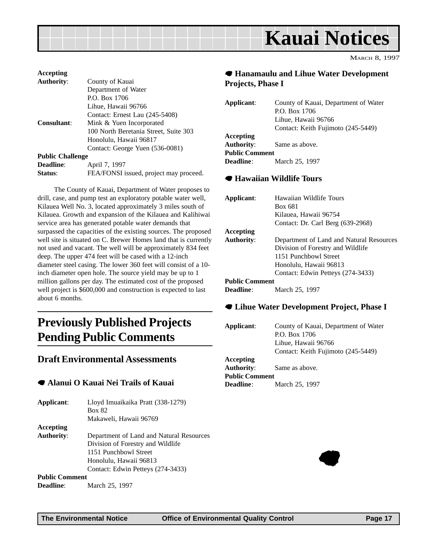<span id="page-16-0"></span>

| Accepting               |                                        |
|-------------------------|----------------------------------------|
| <b>Authority:</b>       | County of Kauai                        |
|                         | Department of Water                    |
|                         | P.O. Box 1706                          |
|                         | Lihue, Hawaii 96766                    |
|                         | Contact: Ernest Lau (245-5408)         |
| Consultant:             | Mink & Yuen Incorporated               |
|                         | 100 North Beretania Street, Suite 303  |
|                         | Honolulu, Hawaii 96817                 |
|                         | Contact: George Yuen (536-0081)        |
| <b>Public Challenge</b> |                                        |
| <b>Deadline:</b>        | April 7, 1997                          |
| Status:                 | FEA/FONSI issued, project may proceed. |

The County of Kauai, Department of Water proposes to drill, case, and pump test an exploratory potable water well, Kilauea Well No. 3, located approximately 3 miles south of Kilauea. Growth and expansion of the Kilauea and Kalihiwai service area has generated potable water demands that surpassed the capacities of the existing sources. The proposed well site is situated on C. Brewer Homes land that is currently not used and vacant. The well will be approximately 834 feet deep. The upper 474 feet will be cased with a 12-inch diameter steel casing. The lower 360 feet will consist of a 10 inch diameter open hole. The source yield may be up to 1 million gallons per day. The estimated cost of the proposed well project is \$600,000 and construction is expected to last about 6 months.

## **Previously Published Projects Pending Public Comments**

#### **Draft Environmental Assessments**

#### 7 **Alanui O Kauai Nei Trails of Kauai**

**Applicant**: Lloyd Imuaikaika Pratt (338-1279) Box 82 Makaweli, Hawaii 96769 **Accepting Authority**: Department of Land and Natural Resources Division of Forestry and Wildlife 1151 Punchbowl Street Honolulu, Hawaii 96813 Contact: Edwin Petteys (274-3433) **Public Comment Deadline**: March 25, 1997

#### 7 **Hanamaulu and Lihue Water Development Projects, Phase I**

| Applicant:            | County of Kauai, Department of Water |
|-----------------------|--------------------------------------|
|                       | P.O. Box 1706                        |
|                       | Lihue. Hawaii 96766                  |
|                       | Contact: Keith Fujimoto (245-5449)   |
| Accepting             |                                      |
| <b>Authority:</b>     | Same as above.                       |
| <b>Public Comment</b> |                                      |
| <b>Deadline:</b>      | March 25, 1997                       |

#### 7 **Hawaiian Wildlife Tours**

| Applicant:            | Hawaiian Wildlife Tours                  |
|-----------------------|------------------------------------------|
|                       | Box 681                                  |
|                       | Kilauea, Hawaii 96754                    |
|                       | Contact: Dr. Carl Berg (639-2968)        |
| Accepting             |                                          |
| <b>Authority:</b>     | Department of Land and Natural Resources |
|                       | Division of Forestry and Wildlife        |
|                       | 1151 Punchbowl Street                    |
|                       | Honolulu, Hawaii 96813                   |
|                       | Contact: Edwin Petteys (274-3433)        |
| <b>Public Comment</b> |                                          |
| <b>Deadline:</b>      | March 25, 1997                           |

#### 7 **Lihue Water Development Project, Phase I**

**Applicant**: County of Kauai, Department of Water P.O. Box 1706 Lihue, Hawaii 96766 Contact: Keith Fujimoto (245-5449)

**Accepting Authority**: Same as above. **Public Comment Deadline**: March 25, 1997

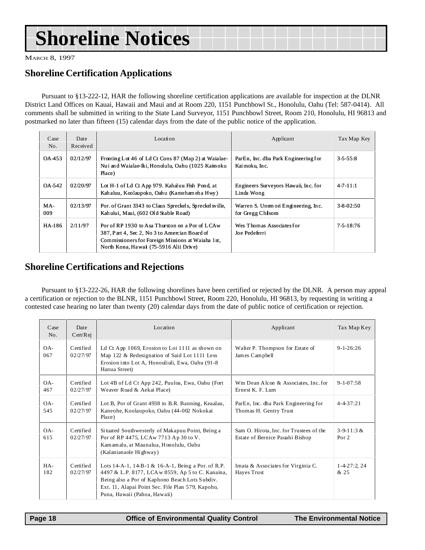## <span id="page-17-0"></span>**Shoreline Notices**

MARCH 8, 1997

#### **Shoreline Certification Applications**

Pursuant to §13-222-12, HAR the following shoreline certification applications are available for inspection at the DLNR District Land Offices on Kauai, Hawaii and Maui and at Room 220, 1151 Punchbowl St., Honolulu, Oahu (Tel: 587-0414). All comments shall be submitted in writing to the State Land Surveyor, 1151 Punchbowl Street, Room 210, Honolulu, HI 96813 and postmarked no later than fifteen (15) calendar days from the date of the public notice of the application.

| Case<br>No. | Date<br>Received | Location                                                                                                                                                                                        | Applicant                                                | Tax Map Key     |
|-------------|------------------|-------------------------------------------------------------------------------------------------------------------------------------------------------------------------------------------------|----------------------------------------------------------|-----------------|
| QA 453      | 02/12/97         | Fronting Lot 46 of Ld Ct Cons 87 (Map 2) at Waialae-<br>Nui and Waialae-Iki, Honolulu, Oahu (1025 Kaimoku<br>Place)                                                                             | ParEn, Inc. dba Park Engineering for<br>Kai moku. Inc.   | $3 - 5 - 55:8$  |
| OA-542      | 02/20/97         | Lot H-1 of Ld Ct App 979. Kahaluu Fish Pond, at<br>Kahaluu, Koolaupoko, Oahu (Kamehameha Hwy)                                                                                                   | Engineers Surveyors Hawaii, Inc. for<br>Linda Wong       | $4 - 7 - 11:1$  |
| MA-<br>009  | 02/13/97         | Por. of Grant 3343 to Claus Spreckels, Spreckelsville,<br>Kahului, Maui, (602 Old Stable Road)                                                                                                  | Warren S. Unem on Engineering, Inc.<br>for Gregg Chilsom | $3 - 8 - 02:50$ |
| HA-186      | 2/11/97          | Por of RP 1930 to Asa Thurston on a Por of LCAW<br>387, Part 4, Sec 2, No 3 to Amercian Board of<br>Commissioners for Foreign Missions at Waiaha 1st,<br>North Kona, Hawai (75-5916 Alii Drive) | Wes Thomas Associates for<br>Joe Pedeferri               | $7 - 5 - 18:76$ |

#### **Shoreline Certifications and Rejections**

Pursuant to §13-222-26, HAR the following shorelines have been certified or rejected by the DLNR. A person may appeal a certification or rejection to the BLNR, 1151 Punchbowl Street, Room 220, Honolulu, HI 96813, by requesting in writing a contested case hearing no later than twenty (20) calendar days from the date of public notice of certification or rejection.

| Case<br>No.   | Date<br>Cert/Rej      | Location                                                                                                                                                                                                                                       | Applicant                                                                  | Tax Map Key                |
|---------------|-----------------------|------------------------------------------------------------------------------------------------------------------------------------------------------------------------------------------------------------------------------------------------|----------------------------------------------------------------------------|----------------------------|
| $OA -$<br>067 | Certified<br>02/27/97 | Walter P. Thompson for Estate of<br>Ld Ct App 1069, Erosion to Lot 1111 as shown on<br>Map 122 & Redesignation of Said Lot 1111 Less<br>James Campbell<br>Erosion into Lot A, Honouliuli, Ewa, Oahu (91-8)<br>Hanua Street)                    |                                                                            | $9 - 1 - 26:26$            |
| $OA -$<br>467 | Certified<br>02/27/97 | Lot 4B of Ld Ct App 242, Puuloa, Ewa, Oahu (Fort<br>Wm Dean Alcon & Associates, Inc. for<br>Weaver Road & Aekai Place)<br>Ernest K. F. Lum                                                                                                     |                                                                            | $9 - 1 - 07:58$            |
| $OA -$<br>545 | Certified<br>02/27/97 | Lot B, Por of Grant 4938 to B.R. Banning, Keaalau,<br>ParEn, Inc. dba Park Engineering for<br>Kaneohe, Koolaupoko, Oahu (44-002 Nokokai<br>Thomas H. Gentry Trust<br>Place)                                                                    |                                                                            | $4 - 4 - 37 : 21$          |
| $OA -$<br>615 | Certified<br>02/27/97 | Situated Southwesterly of Makapuu Point, Being a<br>Por of RP 4475, LCAw 7713 Ap 30 to V.<br>Kamamalu, at Maunalua, Honolulu, Oahu<br>(Kalaniana ole Highway)                                                                                  | Sam O. Hirota, Inc. for Trustees of the<br>Estate of Bernice Pauahi Bishop | $3 - 9 - 11:3 &$<br>Por 2  |
| HA-<br>182    | Certified<br>02/27/97 | Lots 14-A-1, 14-B-1 & 16-A-1, Being a Por. of R.P.<br>4497 & L.P. 8177, LCA w 8559, Ap 5 to C. Kanaina,<br>Being also a Por of Kaphono Beach Lots Subdiv.<br>Ext. 11, Alapai Point Sec. File Plan 579, Kapoho,<br>Puna, Hawaii (Pahoa, Hawaii) | Imata & Associates for Virginia C.<br>Hayes Trust                          | $1 - 4 - 27:2$ , 24<br>&25 |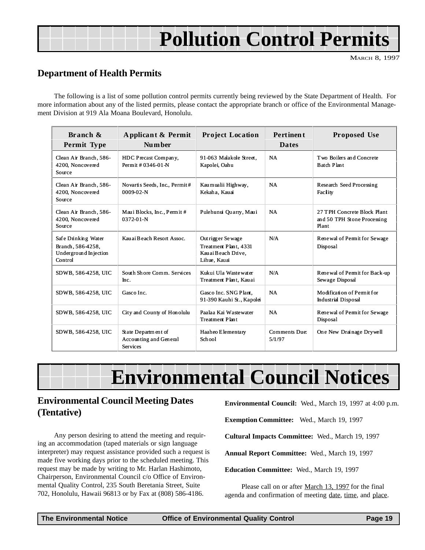## **Pollution Control Permits**

MARCH 8, 1997

#### <span id="page-18-0"></span>**Department of Health Permits**

The following is a list of some pollution control permits currently being reviewed by the State Department of Health. For more information about any of the listed permits, please contact the appropriate branch or office of the Environmental Management Division at 919 Ala Moana Boulevard, Honolulu.

| Branch &<br>Permit Type                                                       | Applicant & Permit<br>Num ber                                    | <b>Project Location</b>                                                            | <b>Pertinent</b><br><b>Dates</b> | <b>Proposed Use</b>                                                 |
|-------------------------------------------------------------------------------|------------------------------------------------------------------|------------------------------------------------------------------------------------|----------------------------------|---------------------------------------------------------------------|
| Clean Air Branch, 586-<br>4200, Noncovered<br>Source                          | HDC Precast Company,<br>Permit #0346-01-N                        | 91-063 Malakole Street.<br>Kapolei, Oahu                                           | <b>NA</b>                        | Two Boilers and Concrete<br><b>Batch Plant</b>                      |
| Clean Air Branch, 586-<br>4200, Noncovered<br>Source                          | Novartis Seeds, Inc., Permit#<br>$0009-02-N$                     | Kaumualii Highway,<br>Kekaha, Kauai                                                | <b>NA</b>                        | Research Seed Processing<br>Facility                                |
| Clean Air Branch, 586-<br>4200. Noncovered<br>Source                          | Mau i Blocks, Inc., Permit #<br>$0372 - 01 - N$                  | Pulehunui Ouarry, Maui                                                             | <b>NA</b>                        | 27 TPH Concrete Block Plant<br>and 50 TPH Stone Processing<br>Plant |
| Safe Drinking Water<br>Branch, 586-4258,<br>Underground In jection<br>Control | Kau ai Beach Resort Assoc.                                       | Out rigger Se wage<br>Treatment Plant, 4331<br>Kau ai Beach Drive.<br>Lihue, Kauai | N/A                              | Rene wal of Permit for Sewage<br>Disposal                           |
| SDWB, 586-4258, UIC                                                           | South Shore Comm. Services<br>Inc.                               | Kukui Ula Wastewater<br>Treatment Plant, Kau ai                                    | N/A                              | Rene wal of Permit for Back-up<br>Sewage Disposal                   |
| SDWB, 586-4258, UIC                                                           | Gasco Inc.                                                       | Gasco Inc. SNG Plant.<br>91-390 Kauhi St., Kapolei                                 | <b>NA</b>                        | Modification of Permit for<br><b>Industrial Disposal</b>            |
| SDWB, 586-4258, UIC                                                           | City and County of Honolulu                                      | Paalaa Kai Wastewater<br><b>Treatment Plant</b>                                    | <b>NA</b>                        | Rene wal of Permit for Sewage<br>Disposal                           |
| SDWB, 586-4258, UIC                                                           | State Department of<br>Accounting and General<br><b>Services</b> | Haaheo Elementary<br>School                                                        | Comments Due:<br>5/1/97          | One New Drainage Drywell                                            |

## **Environmental Council Notices**

#### **Environmental Council Meeting Dates (Tentative)**

Any person desiring to attend the meeting and requiring an accommodation (taped materials or sign language interpreter) may request assistance provided such a request is made five working days prior to the scheduled meeting. This request may be made by writing to Mr. Harlan Hashimoto, Chairperson, Environmental Council c/o Office of Environmental Quality Control, 235 South Beretania Street, Suite 702, Honolulu, Hawaii 96813 or by Fax at (808) 586-4186.

**Environmental Council:** Wed., March 19, 1997 at 4:00 p.m.

**Exemption Committee:** Wed., March 19, 1997

**Cultural Impacts Committee:** Wed., March 19, 1997

**Annual Report Committee:** Wed., March 19, 1997

**Education Committee:** Wed., March 19, 1997

Please call on or after March 13, 1997 for the final agenda and confirmation of meeting date, time, and place.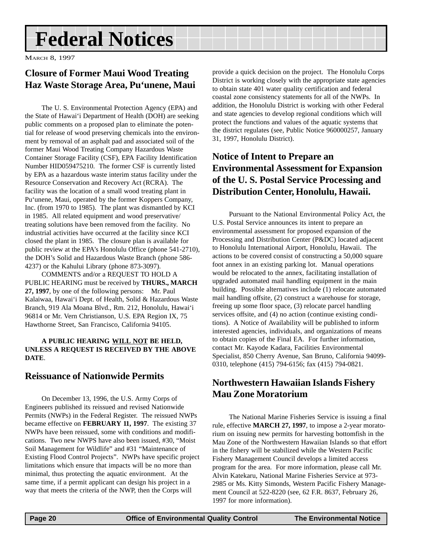## <span id="page-19-0"></span>**Federal Notices**

MARCH 8, 1997

#### **Closure of Former Maui Wood Treating Haz Waste Storage Area, Pu'unene, Maui**

The U. S. Environmental Protection Agency (EPA) and the State of Hawai'i Department of Health (DOH) are seeking public comments on a proposed plan to eliminate the potential for release of wood preserving chemicals into the environment by removal of an asphalt pad and associated soil of the former Maui Wood Treating Company Hazardous Waste Container Storage Facility (CSF), EPA Facility Identification Number HID059475210. The former CSF is currently listed by EPA as a hazardous waste interim status facility under the Resource Conservation and Recovery Act (RCRA). The facility was the location of a small wood treating plant in Pu'unene, Maui, operated by the former Koppers Company, Inc. (from 1970 to 1985). The plant was dismantled by KCI in 1985. All related equipment and wood preservative/ treating solutions have been removed from the facility. No industrial activities have occurred at the facility since KCI closed the plant in 1985. The closure plan is available for public review at the EPA's Honolulu Office (phone 541-2710), the DOH's Solid and Hazardous Waste Branch (phone 586- 4237) or the Kahului Library (phone 873-3097).

COMMENTS and/or a REQUEST TO HOLD A PUBLIC HEARING must be received by **THURS., MARCH 27, 1997**, by one of the following persons: Mr. Paul Kalaiwaa, Hawai'i Dept. of Health, Solid & Hazardous Waste Branch, 919 Ala Moana Blvd., Rm. 212, Honolulu, Hawai'i 96814 or Mr. Vern Christianson, U.S. EPA Region IX, 75 Hawthorne Street, San Francisco, California 94105.

#### **A PUBLIC HEARING WILL NOT BE HELD, UNLESS A REQUEST IS RECEIVED BY THE ABOVE DATE**.

#### **Reissuance of Nationwide Permits**

On December 13, 1996, the U.S. Army Corps of Engineers published its reissued and revised Nationwide Permits (NWPs) in the Federal Register. The reissued NWPs became effective on **FEBRUARY 11, 1997**. The existing 37 NWPs have been reissued, some with conditions and modifications. Two new NWPS have also been issued, #30, "Moist Soil Management for Wildlife" and #31 "Maintenance of Existing Flood Control Projects". NWPs have specific project limitations which ensure that impacts will be no more than minimal, thus protecting the aquatic environment. At the same time, if a permit applicant can design his project in a way that meets the criteria of the NWP, then the Corps will

provide a quick decision on the project. The Honolulu Corps District is working closely with the appropriate state agencies to obtain state 401 water quality certification and federal coastal zone consistency statements for all of the NWPs. In addition, the Honolulu District is working with other Federal and state agencies to develop regional conditions which will protect the functions and values of the aquatic systems that the district regulates (see, Public Notice 960000257, January 31, 1997, Honolulu District).

#### **Notice of Intent to Prepare an Environmental Assessment for Expansion of the U. S. Postal Service Processing and Distribution Center, Honolulu, Hawaii.**

Pursuant to the National Environmental Policy Act, the U.S. Postal Service announces its intent to prepare an environmental assessment for proposed expansion of the Processing and Distribution Center (P&DC) located adjacent to Honolulu International Airport, Honolulu, Hawaii. The actions to be covered consist of constructing a 50,000 square foot annex in an existing parking lot. Manual operations would be relocated to the annex, facilitating installation of upgraded automated mail handling equipment in the main building. Possible alternatives include (1) relocate automated mail handling offsite, (2) construct a warehouse for storage, freeing up some floor space, (3) relocate parcel handling services offsite, and (4) no action (continue existing conditions). A Notice of Availability will be published to inform interested agencies, individuals, and organizations of means to obtain copies of the Final EA. For further information, contact Mr. Kayode Kadara, Facilities Environmental Specialist, 850 Cherry Avenue, San Bruno, California 94099- 0310, telephone (415) 794-6156; fax (415) 794-0821.

#### **Northwestern Hawaiian Islands Fishery Mau Zone Moratorium**

The National Marine Fisheries Service is issuing a final rule, effective **MARCH 27, 1997**, to impose a 2-year moratorium on issuing new permits for harvesting bottomfish in the Mau Zone of the Northwestern Hawaiian Islands so that effort in the fishery will be stabilized while the Western Pacific Fishery Management Council develops a limited access program for the area. For more information, please call Mr. Alvin Katekaru, National Marine Fisheries Service at 973- 2985 or Ms. Kitty Simonds, Western Pacific Fishery Management Council at 522-8220 (see, 62 F.R. 8637, February 26, 1997 for more information).